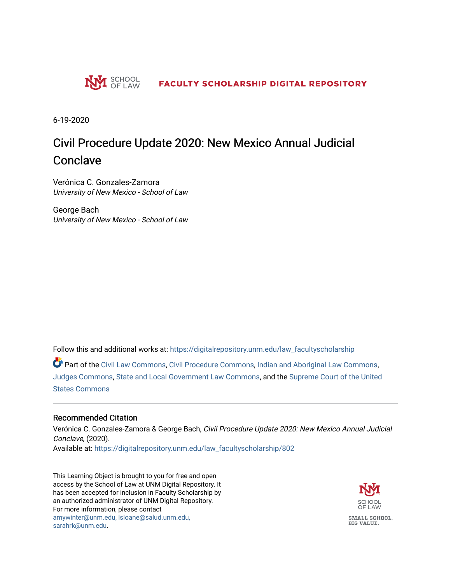

6-19-2020

# Civil Procedure Update 2020: New Mexico Annual Judicial Conclave

Verónica C. Gonzales-Zamora University of New Mexico - School of Law

George Bach University of New Mexico - School of Law

Follow this and additional works at: [https://digitalrepository.unm.edu/law\\_facultyscholarship](https://digitalrepository.unm.edu/law_facultyscholarship?utm_source=digitalrepository.unm.edu%2Flaw_facultyscholarship%2F802&utm_medium=PDF&utm_campaign=PDFCoverPages) 

Part of the [Civil Law Commons](http://network.bepress.com/hgg/discipline/835?utm_source=digitalrepository.unm.edu%2Flaw_facultyscholarship%2F802&utm_medium=PDF&utm_campaign=PDFCoverPages), [Civil Procedure Commons,](http://network.bepress.com/hgg/discipline/584?utm_source=digitalrepository.unm.edu%2Flaw_facultyscholarship%2F802&utm_medium=PDF&utm_campaign=PDFCoverPages) [Indian and Aboriginal Law Commons,](http://network.bepress.com/hgg/discipline/894?utm_source=digitalrepository.unm.edu%2Flaw_facultyscholarship%2F802&utm_medium=PDF&utm_campaign=PDFCoverPages) [Judges Commons](http://network.bepress.com/hgg/discipline/849?utm_source=digitalrepository.unm.edu%2Flaw_facultyscholarship%2F802&utm_medium=PDF&utm_campaign=PDFCoverPages), [State and Local Government Law Commons,](http://network.bepress.com/hgg/discipline/879?utm_source=digitalrepository.unm.edu%2Flaw_facultyscholarship%2F802&utm_medium=PDF&utm_campaign=PDFCoverPages) and the [Supreme Court of the United](http://network.bepress.com/hgg/discipline/1350?utm_source=digitalrepository.unm.edu%2Flaw_facultyscholarship%2F802&utm_medium=PDF&utm_campaign=PDFCoverPages)  [States Commons](http://network.bepress.com/hgg/discipline/1350?utm_source=digitalrepository.unm.edu%2Flaw_facultyscholarship%2F802&utm_medium=PDF&utm_campaign=PDFCoverPages) 

#### Recommended Citation

Verónica C. Gonzales-Zamora & George Bach, Civil Procedure Update 2020: New Mexico Annual Judicial Conclave, (2020). Available at: [https://digitalrepository.unm.edu/law\\_facultyscholarship/802](https://digitalrepository.unm.edu/law_facultyscholarship/802?utm_source=digitalrepository.unm.edu%2Flaw_facultyscholarship%2F802&utm_medium=PDF&utm_campaign=PDFCoverPages) 

This Learning Object is brought to you for free and open access by the School of Law at UNM Digital Repository. It has been accepted for inclusion in Faculty Scholarship by an authorized administrator of UNM Digital Repository. For more information, please contact [amywinter@unm.edu, lsloane@salud.unm.edu,](mailto:amywinter@unm.edu,%20lsloane@salud.unm.edu,%20sarahrk@unm.edu)  [sarahrk@unm.edu.](mailto:amywinter@unm.edu,%20lsloane@salud.unm.edu,%20sarahrk@unm.edu)

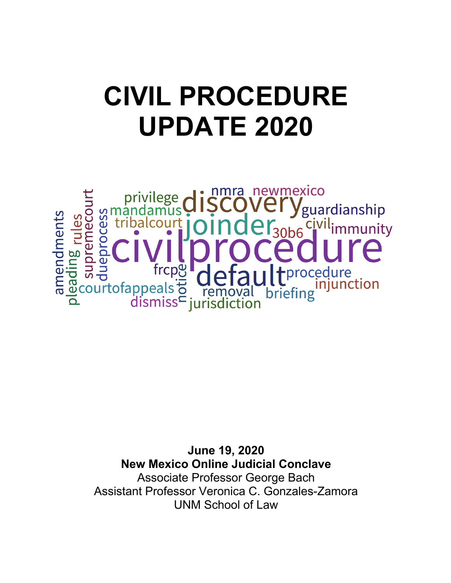# **CIVIL PROCEDURE UPDATE 2020**

newmexico mra guardianship amendments nec **GS** rules <sup>'il</sup>immunity ٦, **Andrew September 1976**<br> **Andrew September 1976**<br> **Andrew September 1976** rocedure trcn injunction ppeals of removal<br>dismiss<sup>L</sup> jurisdiction briefing

> **June 19, 2020 New Mexico Online Judicial Conclave** Associate Professor George Bach Assistant Professor Veronica C. Gonzales-Zamora UNM School of Law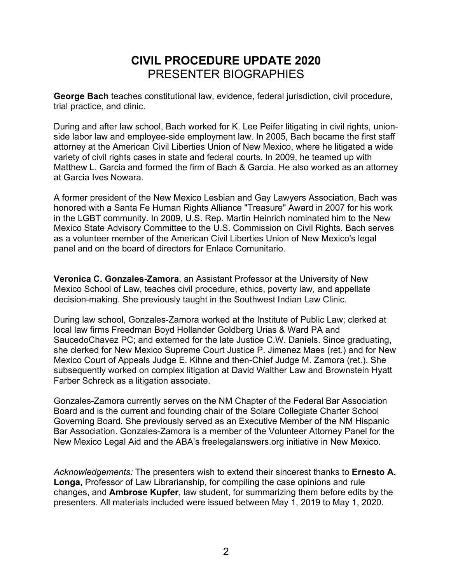## **CIVIL PROCEDURE UPDATE 2020** PRESENTER BIOGRAPHIES

**George Bach** teaches constitutional law, evidence, federal jurisdiction, civil procedure, trial practice, and clinic.

During and after law school, Bach worked for K. Lee Peifer litigating in civil rights, unionside labor law and employee-side employment law. In 2005, Bach became the first staff attorney at the American Civil Liberties Union of New Mexico, where he litigated a wide variety of civil rights cases in state and federal courts. In 2009, he teamed up with Matthew L. Garcia and formed the firm of Bach & Garcia. He also worked as an attorney at Garcia Ives Nowara.

A former president of the New Mexico Lesbian and Gay Lawyers Association, Bach was honored with a Santa Fe Human Rights Alliance "Treasure" Award in 2007 for his work in the LGBT community. In 2009, U.S. Rep. Martin Heinrich nominated him to the New Mexico State Advisory Committee to the U.S. Commission on Civil Rights. Bach serves as a volunteer member of the American Civil Liberties Union of New Mexico's legal panel and on the board of directors for Enlace Comunitario.

**Veronica C. Gonzales-Zamora**, an Assistant Professor at the University of New Mexico School of Law, teaches civil procedure, ethics, poverty law, and appellate decision-making. She previously taught in the Southwest Indian Law Clinic.

During law school, Gonzales-Zamora worked at the Institute of Public Law; clerked at local law firms Freedman Boyd Hollander Goldberg Urias & Ward PA and SaucedoChavez PC; and externed for the late Justice C.W. Daniels. Since graduating, she clerked for New Mexico Supreme Court Justice P. Jimenez Maes (ret.) and for New Mexico Court of Appeals Judge E. Kihne and then-Chief Judge M. Zamora (ret.). She subsequently worked on complex litigation at David Walther Law and Brownstein Hyatt Farber Schreck as a litigation associate.

Gonzales-Zamora currently serves on the NM Chapter of the Federal Bar Association Board and is the current and founding chair of the Solare Collegiate Charter School Governing Board. She previously served as an Executive Member of the NM Hispanic Bar Association. Gonzales-Zamora is a member of the Volunteer Attorney Panel for the New Mexico Legal Aid and the ABA's freelegalanswers.org initiative in New Mexico.

*Acknowledgements:* The presenters wish to extend their sincerest thanks to **Ernesto A. Longa,** Professor of Law Librarianship, for compiling the case opinions and rule changes, and **Ambrose Kupfer**, law student, for summarizing them before edits by the presenters. All materials included were issued between May 1, 2019 to May 1, 2020.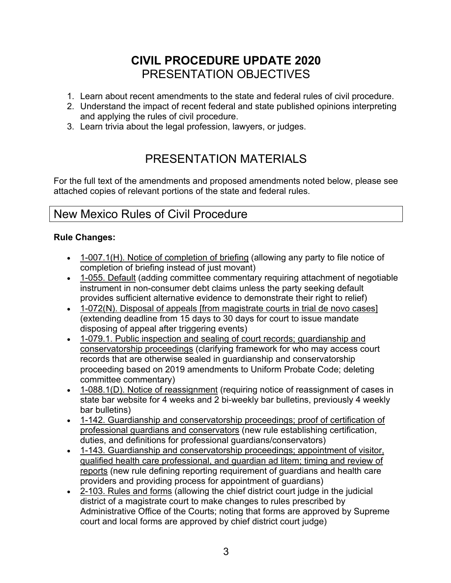## **CIVIL PROCEDURE UPDATE 2020** PRESENTATION OBJECTIVES

- 1. Learn about recent amendments to the state and federal rules of civil procedure.
- 2. Understand the impact of recent federal and state published opinions interpreting and applying the rules of civil procedure.
- 3. Learn trivia about the legal profession, lawyers, or judges.

# PRESENTATION MATERIALS

For the full text of the amendments and proposed amendments noted below, please see attached copies of relevant portions of the state and federal rules.

### New Mexico Rules of Civil Procedure

#### **Rule Changes:**

- 1-007.1(H). Notice of completion of briefing (allowing any party to file notice of completion of briefing instead of just movant)
- 1-055. Default (adding committee commentary requiring attachment of negotiable instrument in non-consumer debt claims unless the party seeking default provides sufficient alternative evidence to demonstrate their right to relief)
- 1-072(N). Disposal of appeals [from magistrate courts in trial de novo cases] (extending deadline from 15 days to 30 days for court to issue mandate disposing of appeal after triggering events)
- 1-079.1. Public inspection and sealing of court records; guardianship and conservatorship proceedings (clarifying framework for who may access court records that are otherwise sealed in guardianship and conservatorship proceeding based on 2019 amendments to Uniform Probate Code; deleting committee commentary)
- 1-088.1(D). Notice of reassignment (requiring notice of reassignment of cases in state bar website for 4 weeks and 2 bi-weekly bar bulletins, previously 4 weekly bar bulletins)
- 1-142. Guardianship and conservatorship proceedings; proof of certification of professional guardians and conservators (new rule establishing certification, duties, and definitions for professional guardians/conservators)
- 1-143. Guardianship and conservatorship proceedings; appointment of visitor, qualified health care professional, and guardian ad litem; timing and review of reports (new rule defining reporting requirement of guardians and health care providers and providing process for appointment of guardians)
- 2-103. Rules and forms (allowing the chief district court judge in the judicial district of a magistrate court to make changes to rules prescribed by Administrative Office of the Courts; noting that forms are approved by Supreme court and local forms are approved by chief district court judge)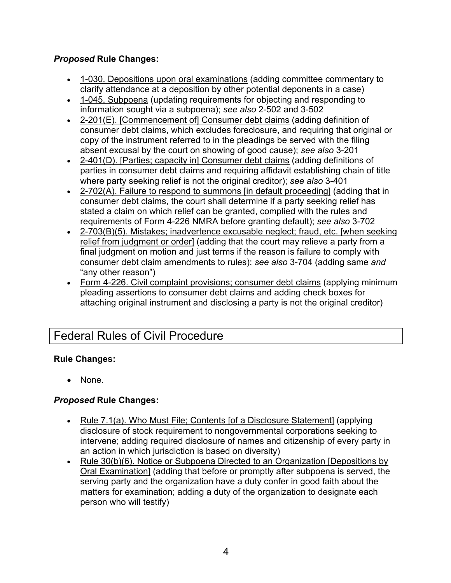#### *Proposed* **Rule Changes:**

- 1-030. Depositions upon oral examinations (adding committee commentary to clarify attendance at a deposition by other potential deponents in a case)
- 1-045. Subpoena (updating requirements for objecting and responding to information sought via a subpoena); *see also* 2-502 and 3-502
- 2-201(E). [Commencement of] Consumer debt claims (adding definition of consumer debt claims, which excludes foreclosure, and requiring that original or copy of the instrument referred to in the pleadings be served with the filing absent excusal by the court on showing of good cause); *see also* 3-201
- 2-401(D). [Parties; capacity in] Consumer debt claims (adding definitions of parties in consumer debt claims and requiring affidavit establishing chain of title where party seeking relief is not the original creditor); *see also* 3-401
- 2-702(A). Failure to respond to summons [in default proceeding] (adding that in consumer debt claims, the court shall determine if a party seeking relief has stated a claim on which relief can be granted, complied with the rules and requirements of Form 4-226 NMRA before granting default); *see also* 3-702
- 2-703(B)(5). Mistakes; inadvertence excusable neglect; fraud, etc. [when seeking relief from judgment or order] (adding that the court may relieve a party from a final judgment on motion and just terms if the reason is failure to comply with consumer debt claim amendments to rules); *see also* 3-704 (adding same *and*  "any other reason")
- Form 4-226. Civil complaint provisions; consumer debt claims (applying minimum pleading assertions to consumer debt claims and adding check boxes for attaching original instrument and disclosing a party is not the original creditor)

## Federal Rules of Civil Procedure

#### **Rule Changes:**

• None.

#### *Proposed* **Rule Changes:**

- Rule 7.1(a). Who Must File; Contents [of a Disclosure Statement] (applying disclosure of stock requirement to nongovernmental corporations seeking to intervene; adding required disclosure of names and citizenship of every party in an action in which jurisdiction is based on diversity)
- Rule 30(b)(6). Notice or Subpoena Directed to an Organization [Depositions by Oral Examination] (adding that before or promptly after subpoena is served, the serving party and the organization have a duty confer in good faith about the matters for examination; adding a duty of the organization to designate each person who will testify)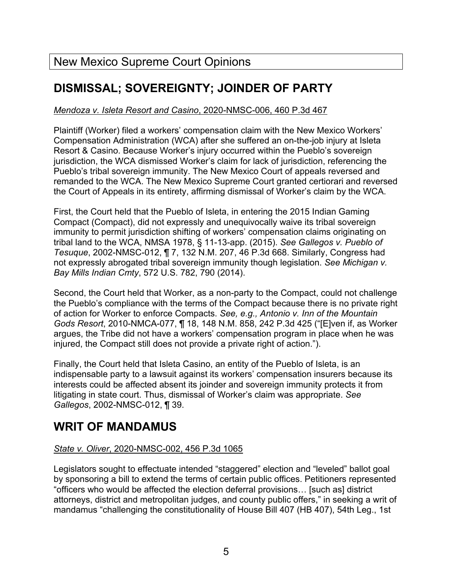# **DISMISSAL; SOVEREIGNTY; JOINDER OF PARTY**

#### *Mendoza v. Isleta Resort and Casino*, 2020-NMSC-006, 460 P.3d 467

Plaintiff (Worker) filed a workers' compensation claim with the New Mexico Workers' Compensation Administration (WCA) after she suffered an on-the-job injury at Isleta Resort & Casino. Because Worker's injury occurred within the Pueblo's sovereign jurisdiction, the WCA dismissed Worker's claim for lack of jurisdiction, referencing the Pueblo's tribal sovereign immunity. The New Mexico Court of appeals reversed and remanded to the WCA. The New Mexico Supreme Court granted certiorari and reversed the Court of Appeals in its entirety, affirming dismissal of Worker's claim by the WCA.

First, the Court held that the Pueblo of Isleta, in entering the 2015 Indian Gaming Compact (Compact), did not expressly and unequivocally waive its tribal sovereign immunity to permit jurisdiction shifting of workers' compensation claims originating on tribal land to the WCA, NMSA 1978, § 11-13-app. (2015). *See Gallegos v. Pueblo of Tesuque*, 2002-NMSC-012, ¶ 7, 132 N.M. 207, 46 P.3d 668. Similarly, Congress had not expressly abrogated tribal sovereign immunity though legislation. *See Michigan v. Bay Mills Indian Cmty*, 572 U.S. 782, 790 (2014).

Second, the Court held that Worker, as a non-party to the Compact, could not challenge the Pueblo's compliance with the terms of the Compact because there is no private right of action for Worker to enforce Compacts. *See, e.g., Antonio v. Inn of the Mountain Gods Resort*, 2010-NMCA-077, ¶ 18, 148 N.M. 858, 242 P.3d 425 ("[E]ven if, as Worker argues, the Tribe did not have a workers' compensation program in place when he was injured, the Compact still does not provide a private right of action.").

Finally, the Court held that Isleta Casino, an entity of the Pueblo of Isleta, is an indispensable party to a lawsuit against its workers' compensation insurers because its interests could be affected absent its joinder and sovereign immunity protects it from litigating in state court. Thus, dismissal of Worker's claim was appropriate. *See Gallegos*, 2002-NMSC-012, ¶ 39.

## **WRIT OF MANDAMUS**

#### *State v. Oliver*, 2020-NMSC-002, 456 P.3d 1065

Legislators sought to effectuate intended "staggered" election and "leveled" ballot goal by sponsoring a bill to extend the terms of certain public offices. Petitioners represented "officers who would be affected the election deferral provisions… [such as] district attorneys, district and metropolitan judges, and county public offers," in seeking a writ of mandamus "challenging the constitutionality of House Bill 407 (HB 407), 54th Leg., 1st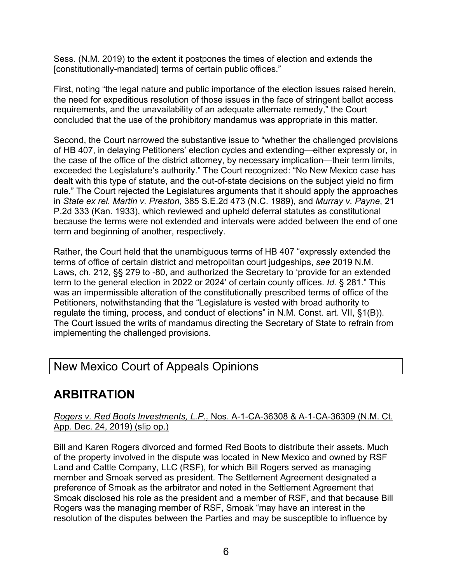Sess. (N.M. 2019) to the extent it postpones the times of election and extends the [constitutionally-mandated] terms of certain public offices."

First, noting "the legal nature and public importance of the election issues raised herein, the need for expeditious resolution of those issues in the face of stringent ballot access requirements, and the unavailability of an adequate alternate remedy," the Court concluded that the use of the prohibitory mandamus was appropriate in this matter.

Second, the Court narrowed the substantive issue to "whether the challenged provisions of HB 407, in delaying Petitioners' election cycles and extending—either expressly or, in the case of the office of the district attorney, by necessary implication—their term limits, exceeded the Legislature's authority." The Court recognized: "No New Mexico case has dealt with this type of statute, and the out-of-state decisions on the subject yield no firm rule." The Court rejected the Legislatures arguments that it should apply the approaches in *State ex rel. Martin v. Preston*, 385 S.E.2d 473 (N.C. 1989), and *Murray v. Payne*, 21 P.2d 333 (Kan. 1933), which reviewed and upheld deferral statutes as constitutional because the terms were not extended and intervals were added between the end of one term and beginning of another, respectively.

Rather, the Court held that the unambiguous terms of HB 407 "expressly extended the terms of office of certain district and metropolitan court judgeships, *see* 2019 N.M. Laws, ch. 212, §§ 279 to -80, and authorized the Secretary to 'provide for an extended term to the general election in 2022 or 2024' of certain county offices. *Id.* § 281." This was an impermissible alteration of the constitutionally prescribed terms of office of the Petitioners, notwithstanding that the "Legislature is vested with broad authority to regulate the timing, process, and conduct of elections" in N.M. Const. art. VII, §1(B)). The Court issued the writs of mandamus directing the Secretary of State to refrain from implementing the challenged provisions.

## New Mexico Court of Appeals Opinions

# **ARBITRATION**

#### *Rogers v. Red Boots Investments, L.P.,* Nos. A-1-CA-36308 & A-1-CA-36309 (N.M. Ct. App. Dec. 24, 2019) (slip op.)

Bill and Karen Rogers divorced and formed Red Boots to distribute their assets. Much of the property involved in the dispute was located in New Mexico and owned by RSF Land and Cattle Company, LLC (RSF), for which Bill Rogers served as managing member and Smoak served as president. The Settlement Agreement designated a preference of Smoak as the arbitrator and noted in the Settlement Agreement that Smoak disclosed his role as the president and a member of RSF, and that because Bill Rogers was the managing member of RSF, Smoak "may have an interest in the resolution of the disputes between the Parties and may be susceptible to influence by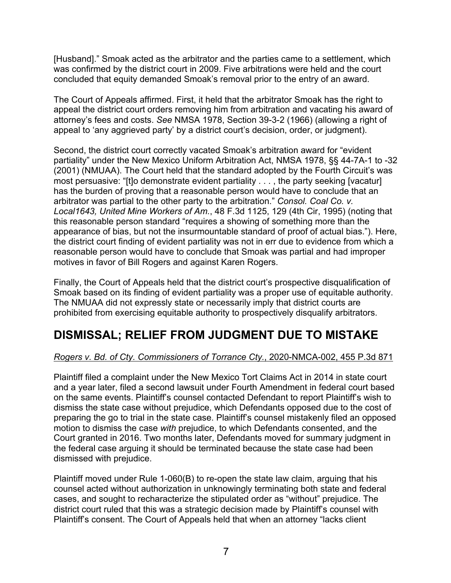[Husband]." Smoak acted as the arbitrator and the parties came to a settlement, which was confirmed by the district court in 2009. Five arbitrations were held and the court concluded that equity demanded Smoak's removal prior to the entry of an award.

The Court of Appeals affirmed. First, it held that the arbitrator Smoak has the right to appeal the district court orders removing him from arbitration and vacating his award of attorney's fees and costs. *See* NMSA 1978, Section 39-3-2 (1966) (allowing a right of appeal to 'any aggrieved party' by a district court's decision, order, or judgment).

Second, the district court correctly vacated Smoak's arbitration award for "evident partiality" under the New Mexico Uniform Arbitration Act, NMSA 1978, §§ 44-7A-1 to -32 (2001) (NMUAA). The Court held that the standard adopted by the Fourth Circuit's was most persuasive: "[t]o demonstrate evident partiality . . . , the party seeking [vacatur] has the burden of proving that a reasonable person would have to conclude that an arbitrator was partial to the other party to the arbitration." *Consol. Coal Co. v. Local1643, United Mine Workers of Am.*, 48 F.3d 1125, 129 (4th Cir, 1995) (noting that this reasonable person standard "requires a showing of something more than the appearance of bias, but not the insurmountable standard of proof of actual bias."). Here, the district court finding of evident partiality was not in err due to evidence from which a reasonable person would have to conclude that Smoak was partial and had improper motives in favor of Bill Rogers and against Karen Rogers.

Finally, the Court of Appeals held that the district court's prospective disqualification of Smoak based on its finding of evident partiality was a proper use of equitable authority. The NMUAA did not expressly state or necessarily imply that district courts are prohibited from exercising equitable authority to prospectively disqualify arbitrators.

## **DISMISSAL; RELIEF FROM JUDGMENT DUE TO MISTAKE**

#### *Rogers v. Bd. of Cty. Commissioners of Torrance Cty.*, 2020-NMCA-002, 455 P.3d 871

Plaintiff filed a complaint under the New Mexico Tort Claims Act in 2014 in state court and a year later, filed a second lawsuit under Fourth Amendment in federal court based on the same events. Plaintiff's counsel contacted Defendant to report Plaintiff's wish to dismiss the state case without prejudice, which Defendants opposed due to the cost of preparing the go to trial in the state case. Plaintiff's counsel mistakenly filed an opposed motion to dismiss the case *with* prejudice, to which Defendants consented, and the Court granted in 2016. Two months later, Defendants moved for summary judgment in the federal case arguing it should be terminated because the state case had been dismissed with prejudice.

Plaintiff moved under Rule 1-060(B) to re-open the state law claim, arguing that his counsel acted without authorization in unknowingly terminating both state and federal cases, and sought to recharacterize the stipulated order as "without" prejudice. The district court ruled that this was a strategic decision made by Plaintiff's counsel with Plaintiff's consent. The Court of Appeals held that when an attorney "lacks client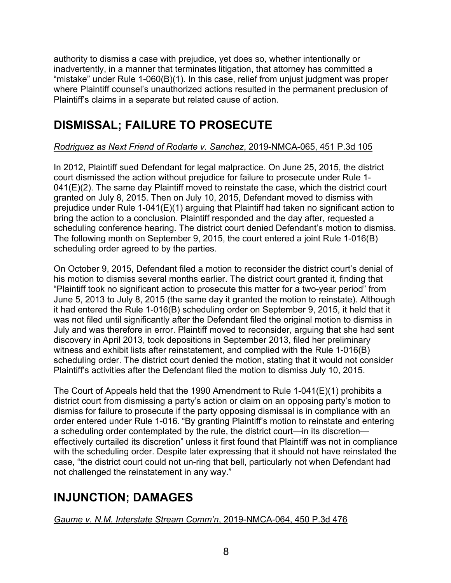authority to dismiss a case with prejudice, yet does so, whether intentionally or inadvertently, in a manner that terminates litigation, that attorney has committed a "mistake" under Rule 1-060(B)(1). In this case, relief from unjust judgment was proper where Plaintiff counsel's unauthorized actions resulted in the permanent preclusion of Plaintiff's claims in a separate but related cause of action.

# **DISMISSAL; FAILURE TO PROSECUTE**

#### *Rodriguez as Next Friend of Rodarte v. Sanchez*, 2019-NMCA-065, 451 P.3d 105

In 2012, Plaintiff sued Defendant for legal malpractice. On June 25, 2015, the district court dismissed the action without prejudice for failure to prosecute under Rule 1- 041(E)(2). The same day Plaintiff moved to reinstate the case, which the district court granted on July 8, 2015. Then on July 10, 2015, Defendant moved to dismiss with prejudice under Rule 1-041(E)(1) arguing that Plaintiff had taken no significant action to bring the action to a conclusion. Plaintiff responded and the day after, requested a scheduling conference hearing. The district court denied Defendant's motion to dismiss. The following month on September 9, 2015, the court entered a joint Rule 1-016(B) scheduling order agreed to by the parties.

On October 9, 2015, Defendant filed a motion to reconsider the district court's denial of his motion to dismiss several months earlier. The district court granted it, finding that "Plaintiff took no significant action to prosecute this matter for a two-year period" from June 5, 2013 to July 8, 2015 (the same day it granted the motion to reinstate). Although it had entered the Rule 1-016(B) scheduling order on September 9, 2015, it held that it was not filed until significantly after the Defendant filed the original motion to dismiss in July and was therefore in error. Plaintiff moved to reconsider, arguing that she had sent discovery in April 2013, took depositions in September 2013, filed her preliminary witness and exhibit lists after reinstatement, and complied with the Rule 1-016(B) scheduling order. The district court denied the motion, stating that it would not consider Plaintiff's activities after the Defendant filed the motion to dismiss July 10, 2015.

The Court of Appeals held that the 1990 Amendment to Rule 1-041(E)(1) prohibits a district court from dismissing a party's action or claim on an opposing party's motion to dismiss for failure to prosecute if the party opposing dismissal is in compliance with an order entered under Rule 1-016. "By granting Plaintiff's motion to reinstate and entering a scheduling order contemplated by the rule, the district court—in its discretion effectively curtailed its discretion" unless it first found that Plaintiff was not in compliance with the scheduling order. Despite later expressing that it should not have reinstated the case, "the district court could not un-ring that bell, particularly not when Defendant had not challenged the reinstatement in any way."

# **INJUNCTION; DAMAGES**

*Gaume v. N.M. Interstate Stream Comm'n*, 2019-NMCA-064, 450 P.3d 476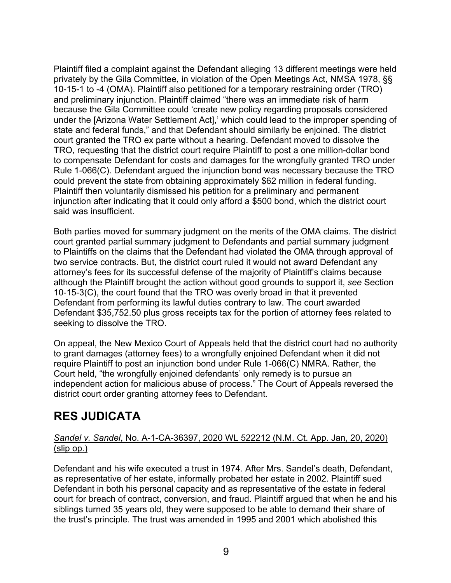Plaintiff filed a complaint against the Defendant alleging 13 different meetings were held privately by the Gila Committee, in violation of the Open Meetings Act, NMSA 1978, §§ 10-15-1 to -4 (OMA). Plaintiff also petitioned for a temporary restraining order (TRO) and preliminary injunction. Plaintiff claimed "there was an immediate risk of harm because the Gila Committee could 'create new policy regarding proposals considered under the [Arizona Water Settlement Act],' which could lead to the improper spending of state and federal funds," and that Defendant should similarly be enjoined. The district court granted the TRO ex parte without a hearing. Defendant moved to dissolve the TRO, requesting that the district court require Plaintiff to post a one million-dollar bond to compensate Defendant for costs and damages for the wrongfully granted TRO under Rule 1-066(C). Defendant argued the injunction bond was necessary because the TRO could prevent the state from obtaining approximately \$62 million in federal funding. Plaintiff then voluntarily dismissed his petition for a preliminary and permanent injunction after indicating that it could only afford a \$500 bond, which the district court said was insufficient.

Both parties moved for summary judgment on the merits of the OMA claims. The district court granted partial summary judgment to Defendants and partial summary judgment to Plaintiffs on the claims that the Defendant had violated the OMA through approval of two service contracts. But, the district court ruled it would not award Defendant any attorney's fees for its successful defense of the majority of Plaintiff's claims because although the Plaintiff brought the action without good grounds to support it, *see* Section 10-15-3(C), the court found that the TRO was overly broad in that it prevented Defendant from performing its lawful duties contrary to law. The court awarded Defendant \$35,752.50 plus gross receipts tax for the portion of attorney fees related to seeking to dissolve the TRO.

On appeal, the New Mexico Court of Appeals held that the district court had no authority to grant damages (attorney fees) to a wrongfully enjoined Defendant when it did not require Plaintiff to post an injunction bond under Rule 1-066(C) NMRA. Rather, the Court held, "the wrongfully enjoined defendants' only remedy is to pursue an independent action for malicious abuse of process." The Court of Appeals reversed the district court order granting attorney fees to Defendant.

# **RES JUDICATA**

#### *Sandel v. Sandel*, No. A-1-CA-36397, 2020 WL 522212 (N.M. Ct. App. Jan, 20, 2020) (slip op.)

Defendant and his wife executed a trust in 1974. After Mrs. Sandel's death, Defendant, as representative of her estate, informally probated her estate in 2002. Plaintiff sued Defendant in both his personal capacity and as representative of the estate in federal court for breach of contract, conversion, and fraud. Plaintiff argued that when he and his siblings turned 35 years old, they were supposed to be able to demand their share of the trust's principle. The trust was amended in 1995 and 2001 which abolished this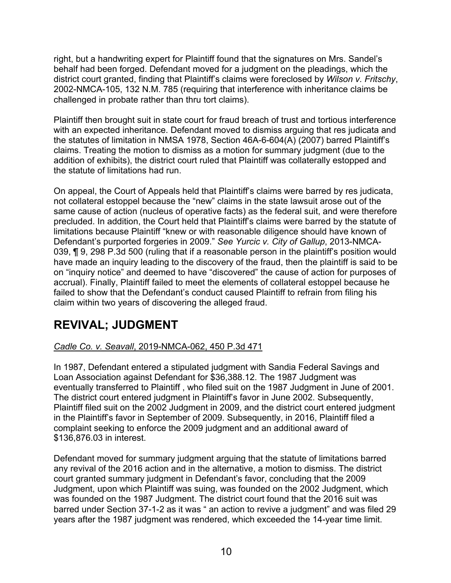right, but a handwriting expert for Plaintiff found that the signatures on Mrs. Sandel's behalf had been forged. Defendant moved for a judgment on the pleadings, which the district court granted, finding that Plaintiff's claims were foreclosed by *Wilson v. Fritschy*, 2002-NMCA-105, 132 N.M. 785 (requiring that interference with inheritance claims be challenged in probate rather than thru tort claims).

Plaintiff then brought suit in state court for fraud breach of trust and tortious interference with an expected inheritance. Defendant moved to dismiss arguing that res judicata and the statutes of limitation in NMSA 1978, Section 46A-6-604(A) (2007) barred Plaintiff's claims. Treating the motion to dismiss as a motion for summary judgment (due to the addition of exhibits), the district court ruled that Plaintiff was collaterally estopped and the statute of limitations had run.

On appeal, the Court of Appeals held that Plaintiff's claims were barred by res judicata, not collateral estoppel because the "new" claims in the state lawsuit arose out of the same cause of action (nucleus of operative facts) as the federal suit, and were therefore precluded. In addition, the Court held that Plaintiff's claims were barred by the statute of limitations because Plaintiff "knew or with reasonable diligence should have known of Defendant's purported forgeries in 2009." *See Yurcic v. City of Gallup*, 2013-NMCA-039, ¶ 9, 298 P.3d 500 (ruling that if a reasonable person in the plaintiff's position would have made an inquiry leading to the discovery of the fraud, then the plaintiff is said to be on "inquiry notice" and deemed to have "discovered" the cause of action for purposes of accrual). Finally, Plaintiff failed to meet the elements of collateral estoppel because he failed to show that the Defendant's conduct caused Plaintiff to refrain from filing his claim within two years of discovering the alleged fraud.

# **REVIVAL; JUDGMENT**

#### *Cadle Co. v. Seavall*, 2019-NMCA-062, 450 P.3d 471

In 1987, Defendant entered a stipulated judgment with Sandia Federal Savings and Loan Association against Defendant for \$36,388.12. The 1987 Judgment was eventually transferred to Plaintiff , who filed suit on the 1987 Judgment in June of 2001. The district court entered judgment in Plaintiff's favor in June 2002. Subsequently, Plaintiff filed suit on the 2002 Judgment in 2009, and the district court entered judgment in the Plaintiff's favor in September of 2009. Subsequently, in 2016, Plaintiff filed a complaint seeking to enforce the 2009 judgment and an additional award of \$136,876.03 in interest.

Defendant moved for summary judgment arguing that the statute of limitations barred any revival of the 2016 action and in the alternative, a motion to dismiss. The district court granted summary judgment in Defendant's favor, concluding that the 2009 Judgment, upon which Plaintiff was suing, was founded on the 2002 Judgment, which was founded on the 1987 Judgment. The district court found that the 2016 suit was barred under Section 37-1-2 as it was " an action to revive a judgment" and was filed 29 years after the 1987 judgment was rendered, which exceeded the 14-year time limit.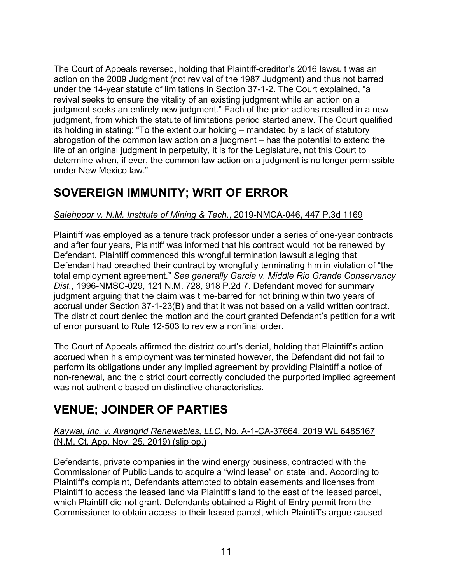The Court of Appeals reversed, holding that Plaintiff-creditor's 2016 lawsuit was an action on the 2009 Judgment (not revival of the 1987 Judgment) and thus not barred under the 14-year statute of limitations in Section 37-1-2. The Court explained, "a revival seeks to ensure the vitality of an existing judgment while an action on a judgment seeks an entirely new judgment." Each of the prior actions resulted in a new judgment, from which the statute of limitations period started anew. The Court qualified its holding in stating: "To the extent our holding – mandated by a lack of statutory abrogation of the common law action on a judgment – has the potential to extend the life of an original judgment in perpetuity, it is for the Legislature, not this Court to determine when, if ever, the common law action on a judgment is no longer permissible under New Mexico law."

## **SOVEREIGN IMMUNITY; WRIT OF ERROR**

#### *Salehpoor v. N.M. Institute of Mining & Tech.*, 2019-NMCA-046, 447 P.3d 1169

Plaintiff was employed as a tenure track professor under a series of one-year contracts and after four years, Plaintiff was informed that his contract would not be renewed by Defendant. Plaintiff commenced this wrongful termination lawsuit alleging that Defendant had breached their contract by wrongfully terminating him in violation of "the total employment agreement." *See generally Garcia v. Middle Rio Grande Conservancy Dist.*, 1996-NMSC-029, 121 N.M. 728, 918 P.2d 7. Defendant moved for summary judgment arguing that the claim was time-barred for not brining within two years of accrual under Section 37-1-23(B) and that it was not based on a valid written contract. The district court denied the motion and the court granted Defendant's petition for a writ of error pursuant to Rule 12-503 to review a nonfinal order.

The Court of Appeals affirmed the district court's denial, holding that Plaintiff's action accrued when his employment was terminated however, the Defendant did not fail to perform its obligations under any implied agreement by providing Plaintiff a notice of non-renewal, and the district court correctly concluded the purported implied agreement was not authentic based on distinctive characteristics.

## **VENUE; JOINDER OF PARTIES**

#### *Kaywal, Inc. v. Avangrid Renewables, LLC*, No. A-1-CA-37664, 2019 WL 6485167 (N.M. Ct. App. Nov. 25, 2019) (slip op.)

Defendants, private companies in the wind energy business, contracted with the Commissioner of Public Lands to acquire a "wind lease" on state land. According to Plaintiff's complaint, Defendants attempted to obtain easements and licenses from Plaintiff to access the leased land via Plaintiff's land to the east of the leased parcel, which Plaintiff did not grant. Defendants obtained a Right of Entry permit from the Commissioner to obtain access to their leased parcel, which Plaintiff's argue caused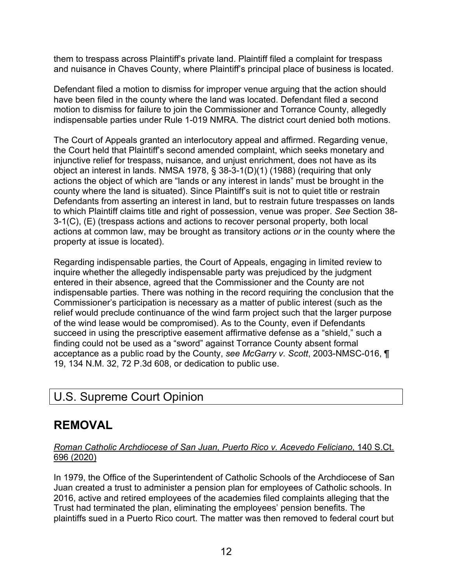them to trespass across Plaintiff's private land. Plaintiff filed a complaint for trespass and nuisance in Chaves County, where Plaintiff's principal place of business is located.

Defendant filed a motion to dismiss for improper venue arguing that the action should have been filed in the county where the land was located. Defendant filed a second motion to dismiss for failure to join the Commissioner and Torrance County, allegedly indispensable parties under Rule 1-019 NMRA. The district court denied both motions.

The Court of Appeals granted an interlocutory appeal and affirmed. Regarding venue, the Court held that Plaintiff's second amended complaint, which seeks monetary and injunctive relief for trespass, nuisance, and unjust enrichment, does not have as its object an interest in lands. NMSA 1978, § 38-3-1(D)(1) (1988) (requiring that only actions the object of which are "lands or any interest in lands" must be brought in the county where the land is situated). Since Plaintiff's suit is not to quiet title or restrain Defendants from asserting an interest in land, but to restrain future trespasses on lands to which Plaintiff claims title and right of possession, venue was proper. *See* Section 38- 3-1(C), (E) (trespass actions and actions to recover personal property, both local actions at common law, may be brought as transitory actions *or* in the county where the property at issue is located).

Regarding indispensable parties, the Court of Appeals, engaging in limited review to inquire whether the allegedly indispensable party was prejudiced by the judgment entered in their absence, agreed that the Commissioner and the County are not indispensable parties. There was nothing in the record requiring the conclusion that the Commissioner's participation is necessary as a matter of public interest (such as the relief would preclude continuance of the wind farm project such that the larger purpose of the wind lease would be compromised). As to the County, even if Defendants succeed in using the prescriptive easement affirmative defense as a "shield," such a finding could not be used as a "sword" against Torrance County absent formal acceptance as a public road by the County, *see McGarry v. Scott*, 2003-NMSC-016, ¶ 19, 134 N.M. 32, 72 P.3d 608, or dedication to public use.

## U.S. Supreme Court Opinion

# **REMOVAL**

#### *Roman Catholic Archdiocese of San Juan, Puerto Rico v. Acevedo Feliciano*, 140 S.Ct. 696 (2020)

In 1979, the Office of the Superintendent of Catholic Schools of the Archdiocese of San Juan created a trust to administer a pension plan for employees of Catholic schools. In 2016, active and retired employees of the academies filed complaints alleging that the Trust had terminated the plan, eliminating the employees' pension benefits. The plaintiffs sued in a Puerto Rico court. The matter was then removed to federal court but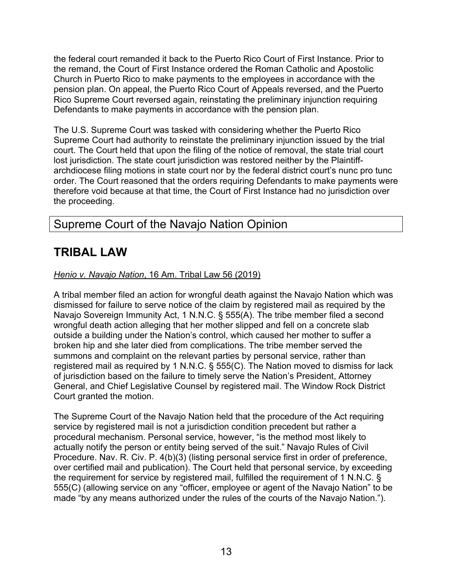the federal court remanded it back to the Puerto Rico Court of First Instance. Prior to the remand, the Court of First Instance ordered the Roman Catholic and Apostolic Church in Puerto Rico to make payments to the employees in accordance with the pension plan. On appeal, the Puerto Rico Court of Appeals reversed, and the Puerto Rico Supreme Court reversed again, reinstating the preliminary injunction requiring Defendants to make payments in accordance with the pension plan.

The U.S. Supreme Court was tasked with considering whether the Puerto Rico Supreme Court had authority to reinstate the preliminary injunction issued by the trial court. The Court held that upon the filing of the notice of removal, the state trial court lost jurisdiction. The state court jurisdiction was restored neither by the Plaintiffarchdiocese filing motions in state court nor by the federal district court's nunc pro tunc order. The Court reasoned that the orders requiring Defendants to make payments were therefore void because at that time, the Court of First Instance had no jurisdiction over the proceeding.

## Supreme Court of the Navajo Nation Opinion

## **TRIBAL LAW**

#### *Henio v. Navajo Nation*, 16 Am. Tribal Law 56 (2019)

A tribal member filed an action for wrongful death against the Navajo Nation which was dismissed for failure to serve notice of the claim by registered mail as required by the Navajo Sovereign Immunity Act, 1 N.N.C. § 555(A). The tribe member filed a second wrongful death action alleging that her mother slipped and fell on a concrete slab outside a building under the Nation's control, which caused her mother to suffer a broken hip and she later died from complications. The tribe member served the summons and complaint on the relevant parties by personal service, rather than registered mail as required by 1 N.N.C. § 555(C). The Nation moved to dismiss for lack of jurisdiction based on the failure to timely serve the Nation's President, Attorney General, and Chief Legislative Counsel by registered mail. The Window Rock District Court granted the motion.

The Supreme Court of the Navajo Nation held that the procedure of the Act requiring service by registered mail is not a jurisdiction condition precedent but rather a procedural mechanism. Personal service, however, "is the method most likely to actually notify the person or entity being served of the suit." Navajo Rules of Civil Procedure. Nav. R. Civ. P. 4(b)(3) (listing personal service first in order of preference, over certified mail and publication). The Court held that personal service, by exceeding the requirement for service by registered mail, fulfilled the requirement of 1 N.N.C. § 555(C) (allowing service on any "officer, employee or agent of the Navajo Nation" to be made "by any means authorized under the rules of the courts of the Navajo Nation.").